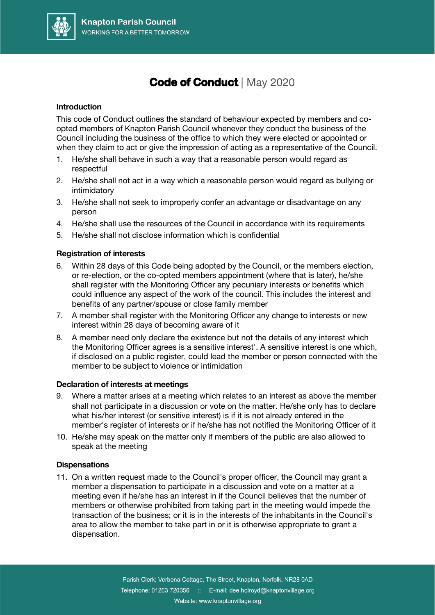

### **Code of Conduct |** May 2020

#### **Introduction**

This code of Conduct outlines the standard of behaviour expected by members and coopted members of Knapton Parish Council whenever they conduct the business of the Council including the business of the office to which they were elected or appointed or when they claim to act or give the impression of acting as a representative of the Council.

- 1. He/she shall behave in such a way that a reasonable person would regard as respectful
- 2. He/she shall not act in a way which a reasonable person would regard as bullying or intimidatory
- 3. He/she shall not seek to improperly confer an advantage or disadvantage on any person
- 4. He/she shall use the resources of the Council in accordance with its requirements
- 5. He/she shall not disclose information which is confidential

#### **Registration of interests**

- 6. Within 28 days of this Code being adopted by the Council, or the members election, or re-election, or the co-opted members appointment (where that is later), he/she shall register with the Monitoring Officer any pecuniary interests or benefits which could influence any aspect of the work of the council. This includes the interest and benefits of any partner/spouse or close family member
- 7. A member shall register with the Monitoring Officer any change to interests or new interest within 28 days of becoming aware of it
- 8. A member need only declare the existence but not the details of any interest which the Monitoring Officer agrees is a sensitive interest'. A sensitive interest is one which, if disclosed on a public register, could lead the member or person connected with the member to be subject to violence or intimidation

### **Declaration of interests at meetings**

- 9. Where a matter arises at a meeting which relates to an interest as above the member shall not participate in a discussion or vote on the matter. He/she only has to declare what his/her interest (or sensitive interest) is if it is not already entered in the member's register of interests or if he/she has not notified the Monitoring Officer of it
- 10. He/she may speak on the matter only if members of the public are also allowed to speak at the meeting

#### **Dispensations**

11. On a written request made to the Council's proper officer, the Council may grant a member a dispensation to participate in a discussion and vote on a matter at a meeting even if he/she has an interest in if the Council believes that the number of members or otherwise prohibited from taking part in the meeting would impede the transaction of the business; or it is in the interests of the inhabitants in the Council's area to allow the member to take part in or it is otherwise appropriate to grant a dispensation.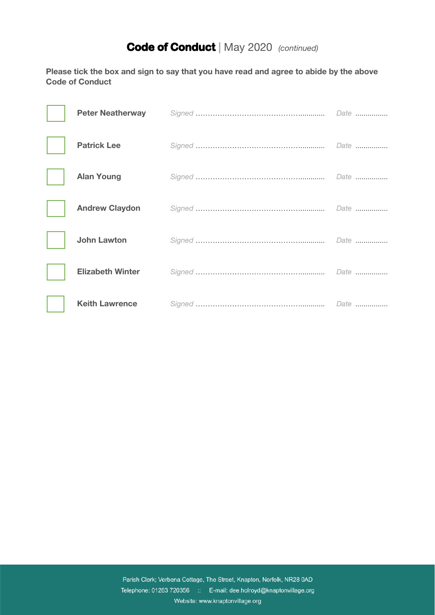# **Code of Conduct |** May 2020*(continued)*

**Please tick the box and sign to say that you have read and agree to abide by the above Code of Conduct**

| <b>Peter Neatherway</b> |  |
|-------------------------|--|
| <b>Patrick Lee</b>      |  |
| <b>Alan Young</b>       |  |
| <b>Andrew Claydon</b>   |  |
| <b>John Lawton</b>      |  |
| <b>Elizabeth Winter</b> |  |
| <b>Keith Lawrence</b>   |  |

Parish Clerk; Verbena Cottage, The Street, Knapton, Norfolk, NR28 0AD Telephone: 01263 720356 :: E-mail: dee.holroyd@knaptonvillage.org Website: www.knaptonvillage.org